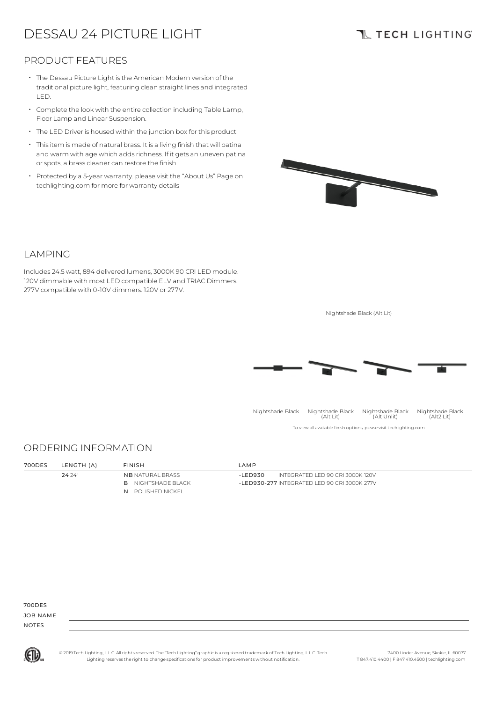# DESSAU 24 PICTURE LIGHT

## **TL TECH LIGHTING**

### PRODUCT FEATURES

- The Dessau Picture Light isthe American Modern version of the traditional picture light, featuring clean straight lines and integrated LED.
- Complete the look with the entire collection including Table Lamp, Floor Lamp and Linear Suspension.
- The LED Driver is housed within the junction box for this product
- Thisitem is made of natural brass. It is a living finish that will patina and warm with age which adds richness. If it gets an uneven patina or spots, a brass cleaner can restore the finish •
- Protected by a 5-year warranty. please visit the "About Us" Page on techlighting.com for more for warranty details



### LAMPING

Includes 24.5watt, 894 delivered lumens, 3000K 90 CRI LED module. 120V dimmable with most LED compatible ELV and TRIAC Dimmers. 277V compatible with 0-10V dimmers. 120V or 277V.

Nightshade Black (Alt Lit)



To view all available finish options, please visit techlighting.com Nightshade Black Nightshade Black (Alt Lit) Nightshade Black (Alt Unlit) Nightshade Black (Alt2 Lit)

#### ORDERING INFORMATION

| 700DES | LENGTH (A) | FINISH                    | LAMP                                         |
|--------|------------|---------------------------|----------------------------------------------|
|        | 24.24"     | <b>NB NATURAL BRASS</b>   | INTEGRATED LED 90 CRI 3000K 120V<br>-I FD930 |
|        |            | <b>B</b> NIGHTSHADE BLACK | -LED930-277 INTEGRATED LED 90 CRI 3000K 277V |
|        |            | N POLISHED NICKEL         |                                              |

700DES

JOB NAME NOTES



© 2019 Tech Lighting, L.L.C. All rightsreserved. The "Tech Lighting" graphicis a registered trademark of Tech Lighting, L.L.C. Tech Lighting reservesthe right to change specificationsfor product improvements without notification.

7400 Linder Avenue, Skokie, IL 60077 T 847.410.4400 | F 847.410.4500 | techlighting.com